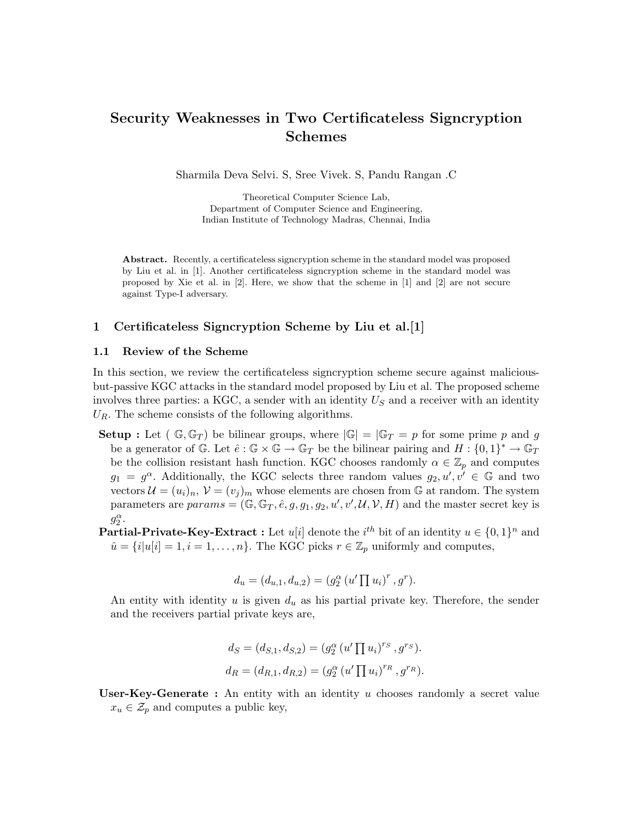# Security Weaknesses in Two Certificateless Signcryption Schemes

Sharmila Deva Selvi. S, Sree Vivek. S, Pandu Rangan .C

Theoretical Computer Science Lab, Department of Computer Science and Engineering, Indian Institute of Technology Madras, Chennai, India

Abstract. Recently, a certificateless signcryption scheme in the standard model was proposed by Liu et al. in [1]. Another certificateless signcryption scheme in the standard model was proposed by Xie et al. in [2]. Here, we show that the scheme in [1] and [2] are not secure against Type-I adversary.

# 1 Certificateless Signcryption Scheme by Liu et al.[1]

## 1.1 Review of the Scheme

In this section, we review the certificateless signcryption scheme secure against maliciousbut-passive KGC attacks in the standard model proposed by Liu et al. The proposed scheme involves three parties: a KGC, a sender with an identity  $U<sub>S</sub>$  and a receiver with an identity  $U_R$ . The scheme consists of the following algorithms.

- **Setup**: Let  $(\mathbb{G}, \mathbb{G}_T)$  be bilinear groups, where  $|\mathbb{G}| = |\mathbb{G}_T = p$  for some prime p and g be a generator of G. Let  $\hat{e} : \mathbb{G} \times \mathbb{G} \to \mathbb{G}_T$  be the bilinear pairing and  $H : \{0,1\}^* \to \mathbb{G}_T$ be the collision resistant hash function. KGC chooses randomly  $\alpha \in \mathbb{Z}_p$  and computes  $g_1 = g^{\alpha}$ . Additionally, the KGC selects three random values  $g_2, u', v' \in \mathbb{G}$  and two vectors  $\mathcal{U} = (u_i)_n$ ,  $\mathcal{V} = (v_j)_m$  whose elements are chosen from G at random. The system parameters are  $params = (\mathbb{G}, \mathbb{G}_T, \hat{e}, g, g_1, g_2, u', v', \mathcal{U}, \mathcal{V}, H)$  and the master secret key is  $g_2^{\alpha}$ .
- **Partial-Private-Key-Extract**: Let  $u[i]$  denote the  $i^{th}$  bit of an identity  $u \in \{0,1\}^n$  and  $\hat{u} = \{i|u[i] = 1, i = 1, \ldots, n\}$ . The KGC picks  $r \in \mathbb{Z}_p$  uniformly and computes,

$$
d_u = (d_{u,1}, d_{u,2}) = (g_2^{\alpha} (u' \prod u_i)^r, g^r).
$$

An entity with identity u is given  $d_u$  as his partial private key. Therefore, the sender and the receivers partial private keys are,

$$
d_S = (d_{S,1}, d_{S,2}) = (g_2^{\alpha} (u' \prod u_i)^{r_S}, g^{r_S}).
$$
  

$$
d_R = (d_{R,1}, d_{R,2}) = (g_2^{\alpha} (u' \prod u_i)^{r_R}, g^{r_R}).
$$

User-Key-Generate : An entity with an identity  $u$  chooses randomly a secret value  $x_u \in \mathcal{Z}_p$  and computes a public key,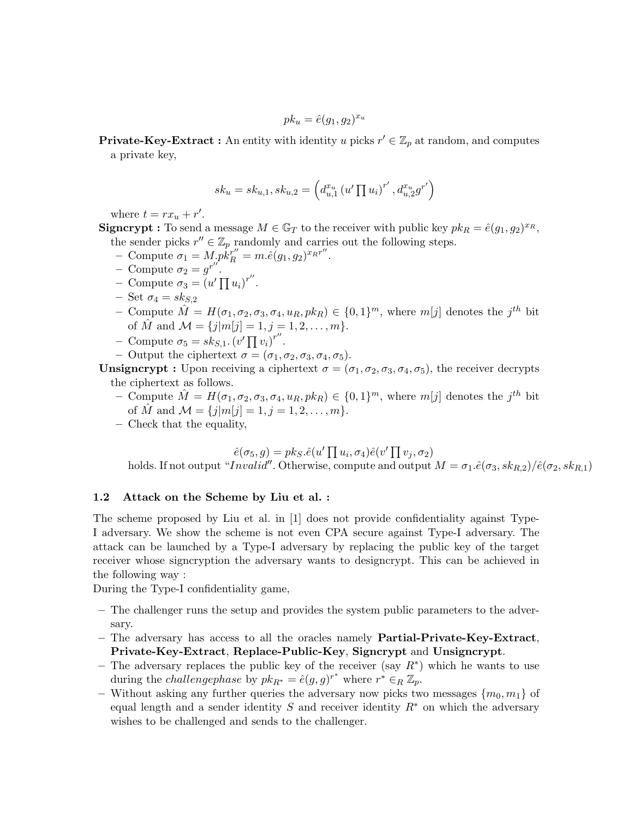$$
pk_u = \hat{e}(g_1, g_2)^{x_u}
$$

**Private-Key-Extract**: An entity with identity u picks  $r' \in \mathbb{Z}_p$  at random, and computes a private key,

$$
sk_u = sk_{u,1}, sk_{u,2} = \left(d_{u,1}^{x_u} (u' \prod u_i)^{r'}, d_{u,2}^{x_u} g^{r'}\right)
$$

where  $t = rx_u + r'$ .

**Signcrypt**: To send a message  $M \in \mathbb{G}_T$  to the receiver with public key  $pk_R = \hat{e}(g_1, g_2)^{x_R}$ , the sender picks  $r'' \in \mathbb{Z}_p$  randomly and carries out the following steps.

- Compute  $\sigma_1 = M_p k_R^{r''} = m.\hat{e}(g_1, g_2)^{x_R r''}.$
- Compute  $\sigma_2 = g^{r''}.$
- Compute  $\sigma_3 = (u' \prod u_i)^{r''}$ .
- Set  $\sigma_4 = s k_{S,2}$
- Compute  $\hat{M} = H(\sigma_1, \sigma_2, \sigma_3, \sigma_4, u_R, p k_R) \in \{0, 1\}^m$ , where  $m[j]$  denotes the  $j^{th}$  bit of  $\hat{M}$  and  $\mathcal{M} = \{j|m[j]=1, j=1,2,\ldots,m\}.$
- Compute  $\sigma_5 = sk_{S,1}$ .  $(v' \prod v_i)^{r''}$ .
- Output the ciphertext  $\sigma = (\sigma_1, \sigma_2, \sigma_3, \sigma_4, \sigma_5)$ .

**Unsigncrypt** : Upon receiving a ciphertext  $\sigma = (\sigma_1, \sigma_2, \sigma_3, \sigma_4, \sigma_5)$ , the receiver decrypts the ciphertext as follows.

- Compute  $\hat{M} = H(\sigma_1, \sigma_2, \sigma_3, \sigma_4, u_R, p k_R) \in \{0, 1\}^m$ , where  $m[j]$  denotes the  $j^{th}$  bit of  $\hat{M}$  and  $\mathcal{M} = \{j|m[j]=1, j=1,2,\ldots,m\}.$
- Check that the equality,

$$
\hat{e}(\sigma_5, g) = p k_S \cdot \hat{e}(u' \prod u_i, \sigma_4) \hat{e}(v' \prod v_j, \sigma_2)
$$

holds. If not output "Invalid". Otherwise, compute and output  $M = \sigma_1 \cdot \hat{e}(\sigma_3, sk_{R,2}) / \hat{e}(\sigma_2, sk_{R,1})$ 

#### 1.2 Attack on the Scheme by Liu et al. :

The scheme proposed by Liu et al. in [1] does not provide confidentiality against Type-I adversary. We show the scheme is not even CPA secure against Type-I adversary. The attack can be launched by a Type-I adversary by replacing the public key of the target receiver whose signcryption the adversary wants to designcrypt. This can be achieved in the following way :

During the Type-I confidentiality game,

- The challenger runs the setup and provides the system public parameters to the adversary.
- The adversary has access to all the oracles namely Partial-Private-Key-Extract, Private-Key-Extract, Replace-Public-Key, Signcrypt and Unsigncrypt.
- The adversary replaces the public key of the receiver (say  $R^*$ ) which he wants to use during the *challengephase* by  $pk_{R^*} = \hat{e}(g, g)^{r^*}$  where  $r^* \in_R \mathbb{Z}_p$ .
- Without asking any further queries the adversary now picks two messages  ${m_0, m_1}$  of equal length and a sender identity S and receiver identity  $R^*$  on which the adversary wishes to be challenged and sends to the challenger.